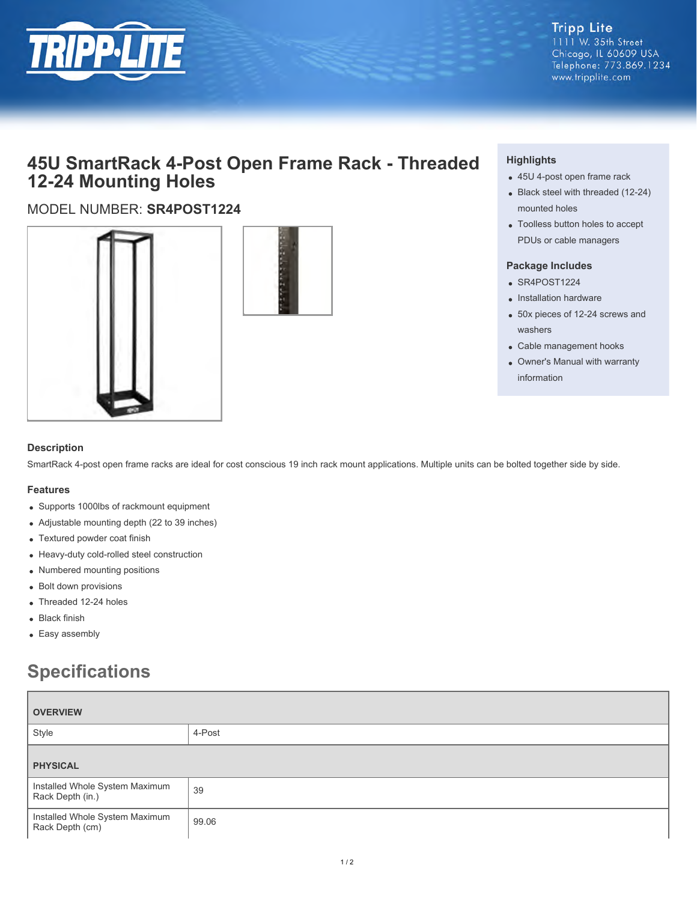

## **Tripp Lite**  $1111$  W. 35th Street

Chicago, IL 60609 USA Telephone: 773.869.1234 www.tripplite.com

# **45U SmartRack 4-Post Open Frame Rack - Threaded 12-24 Mounting Holes**

### MODEL NUMBER: **SR4POST1224**





#### **Description**

SmartRack 4-post open frame racks are ideal for cost conscious 19 inch rack mount applications. Multiple units can be bolted together side by side.

#### **Features**

- Supports 1000lbs of rackmount equipment
- Adjustable mounting depth (22 to 39 inches)
- Textured powder coat finish
- Heavy-duty cold-rolled steel construction
- Numbered mounting positions
- Bolt down provisions
- Threaded 12-24 holes
- Black finish
- Easy assembly

# **Specifications**

| <b>OVERVIEW</b>                                    |        |  |
|----------------------------------------------------|--------|--|
| Style                                              | 4-Post |  |
| <b>PHYSICAL</b>                                    |        |  |
| Installed Whole System Maximum<br>Rack Depth (in.) | 39     |  |
| Installed Whole System Maximum<br>Rack Depth (cm)  | 99.06  |  |

#### **Highlights**

- 45U 4-post open frame rack
- Black steel with threaded (12-24) mounted holes
- Toolless button holes to accept PDUs or cable managers

#### **Package Includes**

- SR4POST1224
- Installation hardware
- 50x pieces of 12-24 screws and washers
- Cable management hooks
- Owner's Manual with warranty information